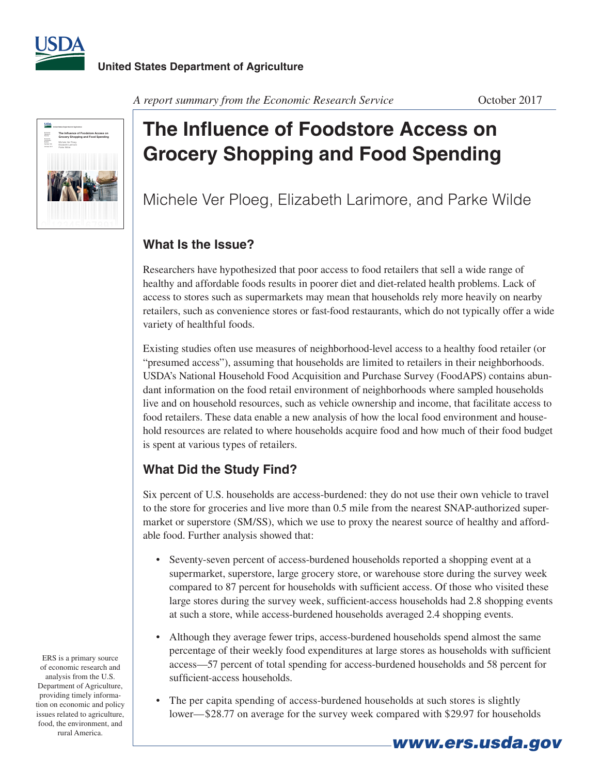



#### A report summary from the Economic Research Service **Concrete Container 1986** October 2017

# **The Influence of Foodstore Access on Grocery Shopping and Food Spending**

Michele Ver Ploeg, Elizabeth Larimore, and Parke Wilde

### **What Is the Issue?**

Researchers have hypothesized that poor access to food retailers that sell a wide range of healthy and affordable foods results in poorer diet and diet-related health problems. Lack of access to stores such as supermarkets may mean that households rely more heavily on nearby retailers, such as convenience stores or fast-food restaurants, which do not typically offer a wide variety of healthful foods.

Existing studies often use measures of neighborhood-level access to a healthy food retailer (or "presumed access"), assuming that households are limited to retailers in their neighborhoods. USDA's National Household Food Acquisition and Purchase Survey (FoodAPS) contains abundant information on the food retail environment of neighborhoods where sampled households live and on household resources, such as vehicle ownership and income, that facilitate access to food retailers. These data enable a new analysis of how the local food environment and household resources are related to where households acquire food and how much of their food budget is spent at various types of retailers.

# **What Did the Study Find?**

Six percent of U.S. households are access-burdened: they do not use their own vehicle to travel to the store for groceries and live more than 0.5 mile from the nearest SNAP-authorized supermarket or superstore (SM/SS), which we use to proxy the nearest source of healthy and affordable food. Further analysis showed that:

- Seventy-seven percent of access-burdened households reported a shopping event at a supermarket, superstore, large grocery store, or warehouse store during the survey week compared to 87 percent for households with sufficient access. Of those who visited these large stores during the survey week, sufficient-access households had 2.8 shopping events at such a store, while access-burdened households averaged 2.4 shopping events.
- Although they average fewer trips, access-burdened households spend almost the same percentage of their weekly food expenditures at large stores as households with sufficient access—57 percent of total spending for access-burdened households and 58 percent for sufficient-access households.
- The per capita spending of access-burdened households at such stores is slightly lower—\$28.77 on average for the survey week compared with \$29.97 for households

*www.ers.usda.gov*

ERS is a primary source of economic research and analysis from the U.S. Department of Agriculture, providing timely information on economic and policy issues related to agriculture, food, the environment, and rural America.